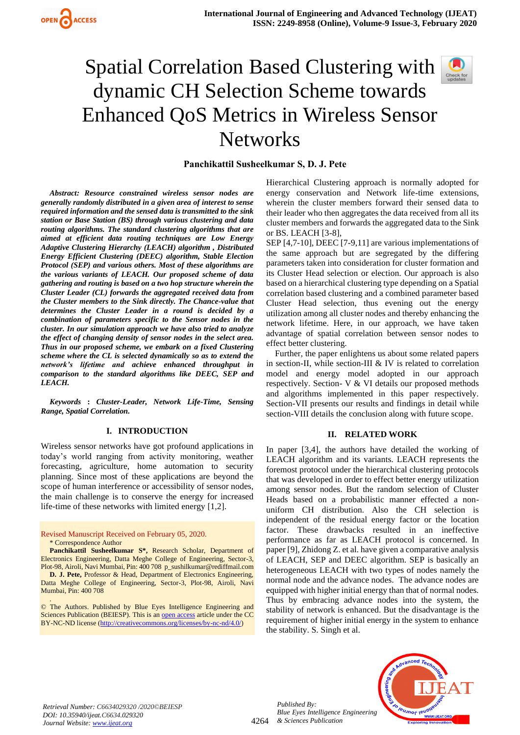**Panchikattil Susheelkumar S, D. J. Pete**

*Abstract: Resource constrained wireless sensor nodes are generally randomly distributed in a given area of interest to sense required information and the sensed data is transmitted to the sink station or Base Station (BS) through various clustering and data routing algorithms. The standard clustering algorithms that are aimed at efficient data routing techniques are Low Energy Adaptive Clustering Hierarchy (LEACH) algorithm , Distributed Energy Efficient Clustering (DEEC) algorithm, Stable Election Protocol (SEP) and various others. Most of these algorithms are the various variants of LEACH. Our proposed scheme of data gathering and routing is based on a two hop structure wherein the Cluster Leader (CL) forwards the aggregated received data from the Cluster members to the Sink directly. The Chance-value that determines the Cluster Leader in a round is decided by a combination of parameters specific to the Sensor nodes in the cluster. In our simulation approach we have also tried to analyze the effect of changing density of sensor nodes in the select area. Thus in our proposed scheme, we embark on a fixed Clustering scheme where the CL is selected dynamically so as to extend the network's lifetime and achieve enhanced throughput in comparison to the standard algorithms like DEEC, SEP and LEACH.*

*Keywords* **:** *Cluster-Leader, Network Life-Time, Sensing Range, Spatial Correlation.* 

## **I. INTRODUCTION**

Wireless sensor networks have got profound applications in today's world ranging from activity monitoring, weather forecasting, agriculture, home automation to security planning. Since most of these applications are beyond the scope of human interference or accessibility of sensor nodes, the main challenge is to conserve the energy for increased life-time of these networks with limited energy [1,2].

#### Revised Manuscript Received on February 05, 2020.

#### \* Correspondence Author

**Panchikattil Susheelkumar S\*,** Research Scholar, Department of Electronics Engineering, Datta Meghe College of Engineering, Sector-3, Plot-98, Airoli, Navi Mumbai, Pin: 400 708 [p\\_sushilkumar@rediffmail.com](mailto:p_sushilkumar@rediffmail.com)

**D. J. Pete,** Professor & Head, Department of Electronics Engineering, Datta Meghe College of Engineering, Sector-3, Plot-98, Airoli, Navi Mumbai, Pin: 400 708

. © The Authors. Published by Blue Eyes Intelligence Engineering and Sciences Publication (BEIESP). This is a[n open access](https://www.openaccess.nl/en/open-publications) article under the CC BY-NC-ND license [\(http://creativecommons.org/licenses/by-nc-nd/4.0/\)](http://creativecommons.org/licenses/by-nc-nd/4.0/)

Hierarchical Clustering approach is normally adopted for energy conservation and Network life-time extensions, wherein the cluster members forward their sensed data to their leader who then aggregates the data received from all its cluster members and forwards the aggregated data to the Sink or BS. LEACH [3-8],

SEP [4,7-10], DEEC [7-9,11] are various implementations of the same approach but are segregated by the differing parameters taken into consideration for cluster formation and its Cluster Head selection or election. Our approach is also based on a hierarchical clustering type depending on a Spatial correlation based clustering and a combined parameter based Cluster Head selection, thus evening out the energy utilization among all cluster nodes and thereby enhancing the network lifetime. Here, in our approach, we have taken advantage of spatial correlation between sensor nodes to effect better clustering.

Further, the paper enlightens us about some related papers in section-II, while section-III & IV is related to correlation model and energy model adopted in our approach respectively. Section- V & VI details our proposed methods and algorithms implemented in this paper respectively. Section-VII presents our results and findings in detail while section-VIII details the conclusion along with future scope.

#### **II. RELATED WORK**

In paper [3,4], the authors have detailed the working of LEACH algorithm and its variants. LEACH represents the foremost protocol under the hierarchical clustering protocols that was developed in order to effect better energy utilization among sensor nodes. But the random selection of Cluster Heads based on a probabilistic manner effected a nonuniform CH distribution. Also the CH selection is independent of the residual energy factor or the location factor. These drawbacks resulted in an ineffective performance as far as LEACH protocol is concerned. In paper [9], Zhidong Z. et al. have given a comparative analysis of LEACH, SEP and DEEC algorithm. SEP is basically an heterogeneous LEACH with two types of nodes namely the normal node and the advance nodes. The advance nodes are equipped with higher initial energy than that of normal nodes. Thus by embracing advance nodes into the system, the stability of network is enhanced. But the disadvantage is the requirement of higher initial energy in the system to enhance the stability. S. Singh et al.



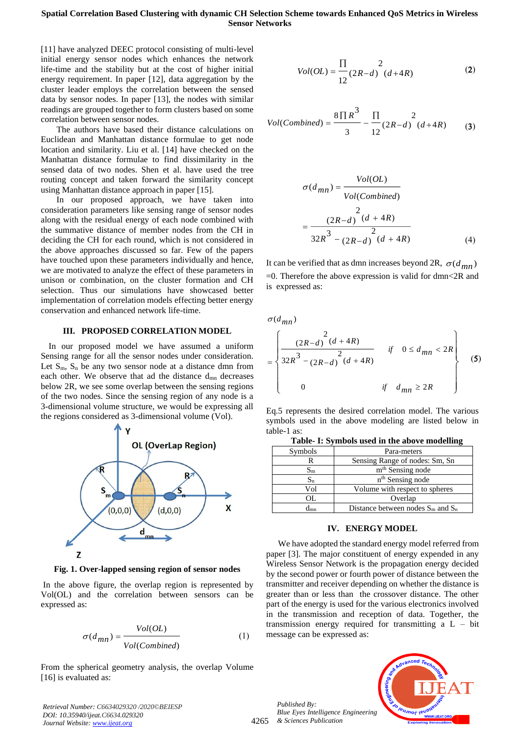[11] have analyzed DEEC protocol consisting of multi-level initial energy sensor nodes which enhances the network life-time and the stability but at the cost of higher initial energy requirement. In paper [12], data aggregation by the cluster leader employs the correlation between the sensed data by sensor nodes. In paper [13], the nodes with similar readings are grouped together to form clusters based on some correlation between sensor nodes.

The authors have based their distance calculations on Euclidean and Manhattan distance formulae to get node location and similarity. Liu et al. [14] have checked on the Manhattan distance formulae to find dissimilarity in the sensed data of two nodes. Shen et al. have used the tree routing concept and taken forward the similarity concept using Manhattan distance approach in paper [15].

In our proposed approach, we have taken into consideration parameters like sensing range of sensor nodes along with the residual energy of each node combined with the summative distance of member nodes from the CH in deciding the CH for each round, which is not considered in the above approaches discussed so far. Few of the papers have touched upon these parameters individually and hence, we are motivated to analyze the effect of these parameters in unison or combination, on the cluster formation and CH selection. Thus our simulations have showcased better implementation of correlation models effecting better energy conservation and enhanced network life-time.

#### **III. PROPOSED CORRELATION MODEL**

In our proposed model we have assumed a uniform Sensing range for all the sensor nodes under consideration. Let  $S_m$ ,  $S_n$  be any two sensor node at a distance dmn from each other. We observe that ad the distance d<sub>mn</sub> decreases below 2R, we see some overlap between the sensing regions of the two nodes. Since the sensing region of any node is a 3-dimensional volume structure, we would be expressing all the regions considered as 3-dimensional volume (Vol).



**Fig. 1. Over-lapped sensing region of sensor nodes**

In the above figure, the overlap region is represented by Vol(OL) and the correlation between sensors can be expressed as:

$$
\sigma(d_{mn}) = \frac{Vol(OL)}{Vol(Combined)}
$$
 (1)

From the spherical geometry analysis, the overlap Volume [16] is evaluated as:

*Retrieval Number: C6634029320 /2020©BEIESP DOI: 10.35940/ijeat.C6634.029320 Journal Website[: www.ijeat.org](http://www.ijeat.org/)*

$$
Vol(OL) = \frac{\prod_{12}^{12} (2R - d)^2 (d + 4R)}
$$
 (2)

$$
Vol(Combined) = \frac{8 \prod R^3}{3} - \frac{\prod}{12} (2R - d) (d + 4R)
$$
 (3)

$$
\sigma(d_{mn}) = \frac{Vol(OL)}{Vol(Combined)}
$$
  
= 
$$
\frac{2}{32R^3 - (2R - d)} \frac{2}{(d + 4R)}
$$
  
(4)

It can be verified that as dmn increases beyond 2R,  $\sigma(d_{mn})$  $=0$ . Therefore the above expression is valid for dmn $\leq 2R$  and is expressed as:

 $\sigma$ ( $d_{mn}$ )

$$
= \begin{cases} \frac{(2R-d)^2(d+4R)}{2} & \text{if } 0 \le d_{mn} < 2R \\ 32R^3 - (2R-d)^2(d+4R) & \text{if } d_{mn} \ge 2R \end{cases}
$$
 (5)

Eq.5 represents the desired correlation model. The various symbols used in the above modeling are listed below in table-1 as:

| Table- I: Symbols used in the above modelling |  |  |  |
|-----------------------------------------------|--|--|--|
|-----------------------------------------------|--|--|--|

| Symbols           | Para-meters                            |
|-------------------|----------------------------------------|
| R                 | Sensing Range of nodes: Sm, Sn         |
| $\rm{S}_{\rm{m}}$ | m <sup>th</sup> Sensing node           |
| $S_n$             | n <sup>th</sup> Sensing node           |
| Vol               | Volume with respect to spheres         |
| OL.               | Overlap                                |
|                   | Distance between nodes $S_m$ and $S_n$ |

#### **IV. ENERGY MODEL**

We have adopted the standard energy model referred from paper [3]. The major constituent of energy expended in any Wireless Sensor Network is the propagation energy decided by the second power or fourth power of distance between the transmitter and receiver depending on whether the distance is greater than or less than the crossover distance. The other part of the energy is used for the various electronics involved in the transmission and reception of data. Together, the transmission energy required for transmitting a  $L - bit$ message can be expressed as:

*Published By: Blue Eyes Intelligence Engineering & Sciences Publication* 

4265

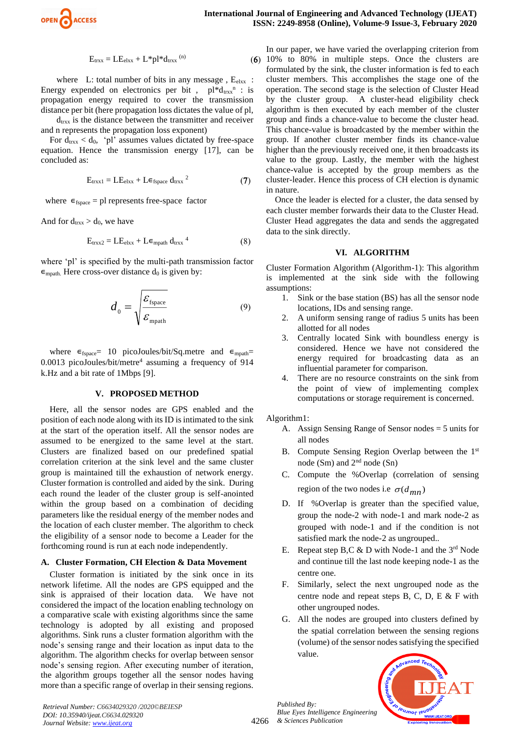

 $(6)$ 

$$
E_{trxx} = LE_{elxx} + L^*pl^*d_{trxx}^{\quad (n)}
$$

where L: total number of bits in any message,  $E_{\text{elxx}}$ : Energy expended on electronics per bit,  $pl * d_{trxx}$ <sup>n</sup> : is propagation energy required to cover the transmission distance per bit (here propagation loss dictates the value of pl,

 $d_{\text{trxx}}$  is the distance between the transmitter and receiver and n represents the propagation loss exponent)

For  $d_{\text{trxx}} < d_0$ , 'pl' assumes values dictated by free-space equation. Hence the transmission energy [17], can be concluded as:

$$
E_{trxx1} = LE_{elxx} + Le_{fspace} d_{trxx}^2
$$
 (7)

where  $\epsilon_{fspace}$  = pl represents free-space factor

And for  $d_{\text{trxx}} > d_0$ , we have

$$
E_{\text{trxx2}} = LE_{\text{elxx}} + Le_{\text{mpath}} d_{\text{trxx}}^4 \tag{8}
$$

where 'pl' is specified by the multi-path transmission factor  $\epsilon_{\text{mpath}}$ . Here cross-over distance  $d_0$  is given by:

$$
d_0 = \sqrt{\frac{\mathcal{E}_{\text{fspace}}}{\mathcal{E}_{\text{mpath}}}}
$$
(9)

where  $\epsilon_{fspace} = 10$  picoJoules/bit/Sq.metre and  $\epsilon_{mpath}$ 0.0013 picoJoules/bit/metre<sup>4</sup> assuming a frequency of 914 k.Hz and a bit rate of 1Mbps [9].

#### **V. PROPOSED METHOD**

Here, all the sensor nodes are GPS enabled and the position of each node along with its ID is intimated to the sink at the start of the operation itself. All the sensor nodes are assumed to be energized to the same level at the start. Clusters are finalized based on our predefined spatial correlation criterion at the sink level and the same cluster group is maintained till the exhaustion of network energy. Cluster formation is controlled and aided by the sink. During each round the leader of the cluster group is self-anointed within the group based on a combination of deciding parameters like the residual energy of the member nodes and the location of each cluster member. The algorithm to check the eligibility of a sensor node to become a Leader for the forthcoming round is run at each node independently.

#### **A. Cluster Formation, CH Election & Data Movement**

Cluster formation is initiated by the sink once in its network lifetime. All the nodes are GPS equipped and the sink is appraised of their location data. We have not considered the impact of the location enabling technology on a comparative scale with existing algorithms since the same technology is adopted by all existing and proposed algorithms. Sink runs a cluster formation algorithm with the node's sensing range and their location as input data to the algorithm. The algorithm checks for overlap between sensor node's sensing region. After executing number of iteration, the algorithm groups together all the sensor nodes having more than a specific range of overlap in their sensing regions.

In our paper, we have varied the overlapping criterion from 10% to 80% in multiple steps. Once the clusters are formulated by the sink, the cluster information is fed to each cluster members. This accomplishes the stage one of the operation. The second stage is the selection of Cluster Head by the cluster group. A cluster-head eligibility check algorithm is then executed by each member of the cluster group and finds a chance-value to become the cluster head. This chance-value is broadcasted by the member within the group. If another cluster member finds its chance-value higher than the previously received one, it then broadcasts its value to the group. Lastly, the member with the highest chance-value is accepted by the group members as the cluster-leader. Hence this process of CH election is dynamic in nature.

Once the leader is elected for a cluster, the data sensed by each cluster member forwards their data to the Cluster Head. Cluster Head aggregates the data and sends the aggregated data to the sink directly.

#### **VI. ALGORITHM**

Cluster Formation Algorithm (Algorithm-1): This algorithm is implemented at the sink side with the following assumptions:

- 1. Sink or the base station (BS) has all the sensor node locations, IDs and sensing range.
- 2. A uniform sensing range of radius 5 units has been allotted for all nodes
- 3. Centrally located Sink with boundless energy is considered. Hence we have not considered the energy required for broadcasting data as an influential parameter for comparison.
- 4. There are no resource constraints on the sink from the point of view of implementing complex computations or storage requirement is concerned.

Algorithm1:

- A. Assign Sensing Range of Sensor nodes = 5 units for all nodes
- B. Compute Sensing Region Overlap between the 1<sup>st</sup> node (Sm) and 2nd node (Sn)
- C. Compute the %Overlap (correlation of sensing region of the two nodes i.e  $\sigma(d_{mn})$
- D. If %Overlap is greater than the specified value, group the node-2 with node-1 and mark node-2 as grouped with node-1 and if the condition is not satisfied mark the node-2 as ungrouped..
- E. Repeat step B,C  $&$  D with Node-1 and the 3<sup>rd</sup> Node and continue till the last node keeping node-1 as the centre one.
- F. Similarly, select the next ungrouped node as the centre node and repeat steps B, C, D, E & F with other ungrouped nodes.
- G. All the nodes are grouped into clusters defined by the spatial correlation between the sensing regions (volume) of the sensor nodes satisfying the specified value.



*Retrieval Number: C6634029320 /2020©BEIESP DOI: 10.35940/ijeat.C6634.029320 Journal Website[: www.ijeat.org](http://www.ijeat.org/)*

*Published By:*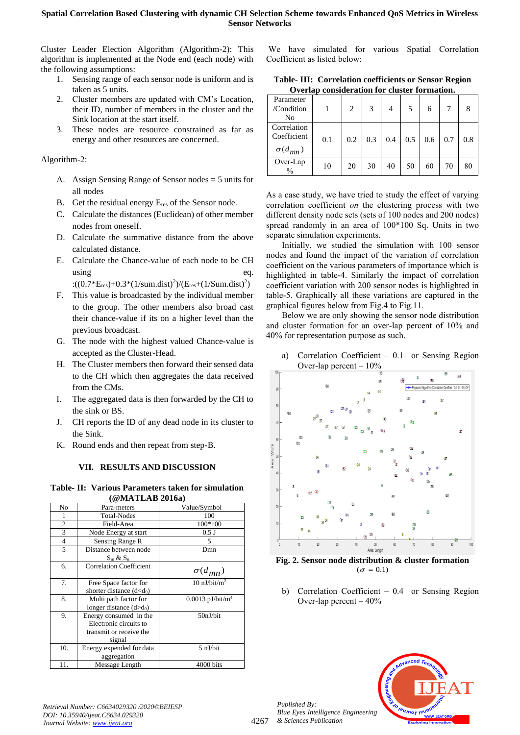Cluster Leader Election Algorithm (Algorithm-2): This algorithm is implemented at the Node end (each node) with the following assumptions:

- 1. Sensing range of each sensor node is uniform and is taken as 5 units.
- 2. Cluster members are updated with CM's Location, their ID, number of members in the cluster and the Sink location at the start itself.
- 3. These nodes are resource constrained as far as energy and other resources are concerned.

## Algorithm-2:

- A. Assign Sensing Range of Sensor nodes = 5 units for all nodes
- B. Get the residual energy  $E_{res}$  of the Sensor node.
- C. Calculate the distances (Euclidean) of other member nodes from oneself.
- D. Calculate the summative distance from the above calculated distance.
- E. Calculate the Chance-value of each node to be CH using eq.

:((0.7\*E<sub>res</sub>)+0.3\*(1/sum.dist)<sup>2</sup>)/(E<sub>res</sub>+(1/Sum.dist)<sup>2</sup>)

- F. This value is broadcasted by the individual member to the group. The other members also broad cast their chance-value if its on a higher level than the previous broadcast.
- G. The node with the highest valued Chance-value is accepted as the Cluster-Head.
- H. The Cluster members then forward their sensed data to the CH which then aggregates the data received from the CMs.
- I. The aggregated data is then forwarded by the CH to the sink or BS.
- J. CH reports the ID of any dead node in its cluster to the Sink.
- K. Round ends and then repeat from step-B.

# **VII. RESULTS AND DISCUSSION**

**Table- II: Various Parameters taken for simulation (@MATLAB 2016a)**

|                | $($ שט בסבר המתורש                                                                    |                                |
|----------------|---------------------------------------------------------------------------------------|--------------------------------|
| No             | Para-meters                                                                           | Value/Symbol                   |
|                | <b>Total-Nodes</b>                                                                    | 100                            |
| $\overline{c}$ | Field-Area                                                                            | 100*100                        |
| 3              | Node Energy at start                                                                  | $0.5$ J                        |
| 4              | Sensing Range R                                                                       | 5                              |
| 5              | Distance between node<br>$S_m \& S_n$                                                 | Dmn                            |
| 6.             | <b>Correlation Coefficient</b>                                                        | $\sigma(d_{mn})$               |
| 7.             | Free Space factor for<br>shorter distance $(d < d0)$                                  | $10 \text{ nJ/bit/m}^2$        |
| 8.             | Multi path factor for<br>longer distance $(d>d_0)$                                    | $0.0013$ pJ/bit/m <sup>4</sup> |
| 9.             | Energy consumed in the<br>Electronic circuits to<br>transmit or receive the<br>signal | 50nJ/bit                       |
| 10.            | Energy expended for data<br>aggregation                                               | 5 nJ/bit                       |
| 11.            | Message Length                                                                        | 4000 bits                      |

We have simulated for various Spatial Correlation Coefficient as listed below:

**Table- III: Correlation coefficients or Sensor Region Overlap consideration for cluster formation.** 

| Parameter<br>/Condition<br>No                  |     | 2   | 3   | 4   | 5   | 6   |     | 8   |
|------------------------------------------------|-----|-----|-----|-----|-----|-----|-----|-----|
| Correlation<br>Coefficient<br>$\sigma(d_{mn})$ | 0.1 | 0.2 | 0.3 | 0.4 | 0.5 | 0.6 | 0.7 | 0.8 |
| Over-Lap<br>$\frac{0}{0}$                      | 10  | 20  | 30  | 40  | 50  | 60  | 70  | 80  |

As a case study, we have tried to study the effect of varying correlation coefficient *on* the clustering process with two different density node sets (sets of 100 nodes and 200 nodes) spread randomly in an area of 100\*100 Sq. Units in two separate simulation experiments.

Initially, we studied the simulation with 100 sensor nodes and found the impact of the variation of correlation coefficient on the various parameters of importance which is highlighted in table-4. Similarly the impact of correlation coefficient variation with 200 sensor nodes is highlighted in table-5. Graphically all these variations are captured in the graphical figures below from Fig.4 to Fig.11.

Below we are only showing the sensor node distribution and cluster formation for an over-lap percent of 10% and 40% for representation purpose as such.

a) Correlation Coefficient – 0.1 or Sensing Region



**Fig. 2. Sensor node distribution & cluster formation**   $(\sigma = 0.1)$ 

b) Correlation Coefficient – 0.4 or Sensing Region Over-lap percent – 40%



*Published By: Blue Eyes Intelligence Engineering & Sciences Publication*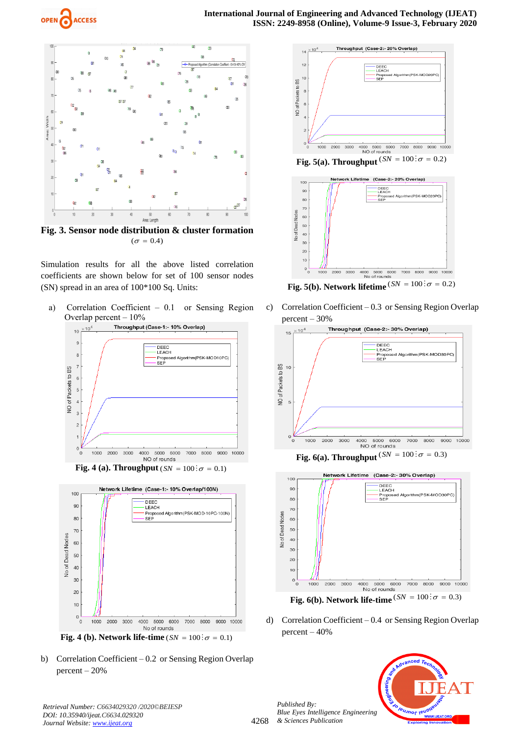



**Fig. 3. Sensor node distribution & cluster formation**   $(\sigma = 0.4)$ 

Simulation results for all the above listed correlation coefficients are shown below for set of 100 sensor nodes (SN) spread in an area of 100\*100 Sq. Units:

a) Correlation Coefficient – 0.1 or Sensing Region Overlap percent  $-10\%$ 



**Fig. 4 (a). Throughput** ( $SN = 100$ :  $\sigma = 0.1$ )











**Fig. 5(b). Network lifetime**  $(SN = 100 \colon \sigma = 0.2)$ 

c) Correlation Coefficient – 0.3 or Sensing Region Overlap percent – 30%







**Fig. 6(b). Network life-time**  $(SN = 100 \colon \sigma = 0.3)$ 

d) Correlation Coefficient – 0.4 or Sensing Region Overlap percent – 40%



*Published By:*

*& Sciences Publication*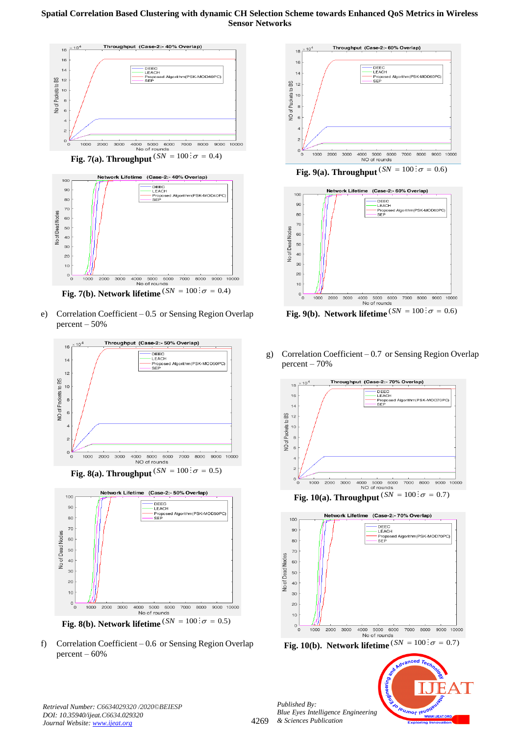

**Fig. 7(a). Throughput**  $(SN = 100: \sigma = 0.4)$ 



**Fig. 7(b). Network lifetime**  $^{(\mathit{SN} = 100\,:\!\sigma = 0.4)}$ 

e) Correlation Coefficient – 0.5 or Sensing Region Overlap percent – 50%



f) Correlation Coefficient – 0.6 or Sensing Region Overlap percent – 60%









g) Correlation Coefficient – 0.7 or Sensing Region Overlap  $percent - 70%$ 





leusnor leu

*Published By: Blue Eyes Intelligence Engineering & Sciences Publication* 

*Retrieval Number: C6634029320 /2020©BEIESP DOI: 10.35940/ijeat.C6634.029320 Journal Website[: www.ijeat.org](http://www.ijeat.org/)*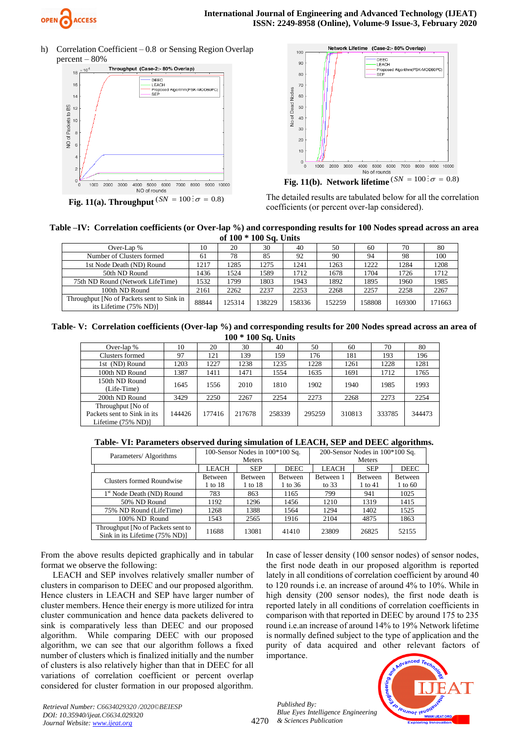

h) Correlation Coefficient – 0.8 or Sensing Region Overlap percent – 80%







**Fig. 11(b). Network lifetime**  $(SN = 100; \sigma = 0.8)$ 

The detailed results are tabulated below for all the correlation coefficients (or percent over-lap considered).

#### **Table –IV: Correlation coefficients (or Over-lap %) and corresponding results for 100 Nodes spread across an area of 100 \* 100 Sq. Units**

|                                                                     |       | $\mathbf{v}$ . $\mathbf{v}$ | $100$ Det Caned |        |        |        |        |        |
|---------------------------------------------------------------------|-------|-----------------------------|-----------------|--------|--------|--------|--------|--------|
| Over-Lap $%$                                                        | 10    | 20                          | 30              | 40     | 50     | 60     | 70     | 80     |
| Number of Clusters formed                                           | 61    | 78                          | 85              | 92     | 90     | 94     | 98     | 100    |
| 1st Node Death (ND) Round                                           | 1217  | 1285                        | 1275            | 1241   | 1263   | 1222   | 1284   | 1208   |
| 50th ND Round                                                       | 1436  | 1524                        | 1589            | 1712   | 1678   | 1704   | 1726   | 1712   |
| 75th ND Round (Network LifeTime)                                    | 1532  | 1799                        | 1803            | 1943   | 1892   | 1895   | 1960   | 1985   |
| 100th ND Round                                                      | 2161  | 2262                        | 2237            | 2253   | 2268   | 2257   | 2258   | 2267   |
| Throughput [No of Packets sent to Sink in<br>its Lifetime (75% ND)] | 88844 | 125314                      | 138229          | 158336 | 152259 | 158808 | 169300 | 171663 |

**Table- V: Correlation coefficients (Over-lap %) and corresponding results for 200 Nodes spread across an area of 100 \* 100 Sq. Units**

| Over-lap $%$                                                           | 10     | 20     | 30     | 40     | 50     | 60     | 70     | 80     |
|------------------------------------------------------------------------|--------|--------|--------|--------|--------|--------|--------|--------|
| Clusters formed                                                        | 97     | 121    | 139    | 159    | 176    | 181    | 193    | 196    |
| 1st (ND) Round                                                         | 1203   | 1227   | 1238   | 1235   | 1228   | 1261   | 1228   | 1281   |
| 100th ND Round                                                         | 1387   | 1411   | 1471   | 1554   | 1635   | 1691   | 1712   | 1765   |
| 150th ND Round<br>(Life-Time)                                          | 1645   | 1556   | 2010   | 1810   | 1902   | 1940   | 1985   | 1993   |
| 200th ND Round                                                         | 3429   | 2250   | 2267   | 2254   | 2273   | 2268   | 2273   | 2254   |
| Throughput [No of<br>Packets sent to Sink in its<br>Lifetime (75% ND)] | 144426 | 177416 | 217678 | 258339 | 295259 | 310813 | 333785 | 344473 |

## **Table- VI: Parameters observed during simulation of LEACH, SEP and DEEC algorithms.**

| Parameters/Algorithms                                               |              | 100-Sensor Nodes in $100*100$ Sq. |                | 200-Sensor Nodes in $100*100$ Sq. |            |                    |  |  |
|---------------------------------------------------------------------|--------------|-----------------------------------|----------------|-----------------------------------|------------|--------------------|--|--|
|                                                                     |              | <b>Meters</b>                     |                |                                   | Meters     |                    |  |  |
|                                                                     | <b>LEACH</b> | <b>SEP</b>                        | <b>DEEC</b>    | <b>LEACH</b>                      | <b>SEP</b> | <b>DEEC</b>        |  |  |
| Clusters formed Roundwise                                           | Between      | <b>Between</b>                    | <b>Between</b> | Between 1                         | Between    | <b>Between</b>     |  |  |
|                                                                     | 1 to 18      | 1 to 18                           | 1 to 36        | to $33$                           | 1 to 41    | $1 \text{ to } 60$ |  |  |
| 1 <sup>st</sup> Node Death (ND) Round                               | 783          | 863                               | 1165           | 799                               | 941        | 1025               |  |  |
| 50% ND Round                                                        | 1192         | 1296                              | 1456           | 1210                              | 1319       | 1415               |  |  |
| 75% ND Round (LifeTime)                                             | 1268         | 1388                              | 1564           | 1294                              | 1402       | 1525               |  |  |
| 100% ND Round                                                       | 1543         | 2565                              | 1916           | 2104                              | 4875       | 1863               |  |  |
| Throughput [No of Packets sent to<br>Sink in its Lifetime (75% ND)] | 11688        | 13081                             | 41410          | 23809                             | 26825      | 52155              |  |  |

From the above results depicted graphically and in tabular format we observe the following:

LEACH and SEP involves relatively smaller number of clusters in comparison to DEEC and our proposed algorithm. Hence clusters in LEACH and SEP have larger number of cluster members. Hence their energy is more utilized for intra cluster communication and hence data packets delivered to sink is comparatively less than DEEC and our proposed algorithm. While comparing DEEC with our proposed algorithm, we can see that our algorithm follows a fixed number of clusters which is finalized initially and the number of clusters is also relatively higher than that in DEEC for all variations of correlation coefficient or percent overlap considered for cluster formation in our proposed algorithm.

In case of lesser density (100 sensor nodes) of sensor nodes, the first node death in our proposed algorithm is reported lately in all conditions of correlation coefficient by around 40 to 120 rounds i.e. an increase of around 4% to 10%. While in high density (200 sensor nodes), the first node death is reported lately in all conditions of correlation coefficients in comparison with that reported in DEEC by around 175 to 235 round i.e.an increase of around 14% to 19% Network lifetime is normally defined subject to the type of application and the purity of data acquired and other relevant factors of importance.

4270 *Published By: Blue Eyes Intelligence Engineering & Sciences Publication*